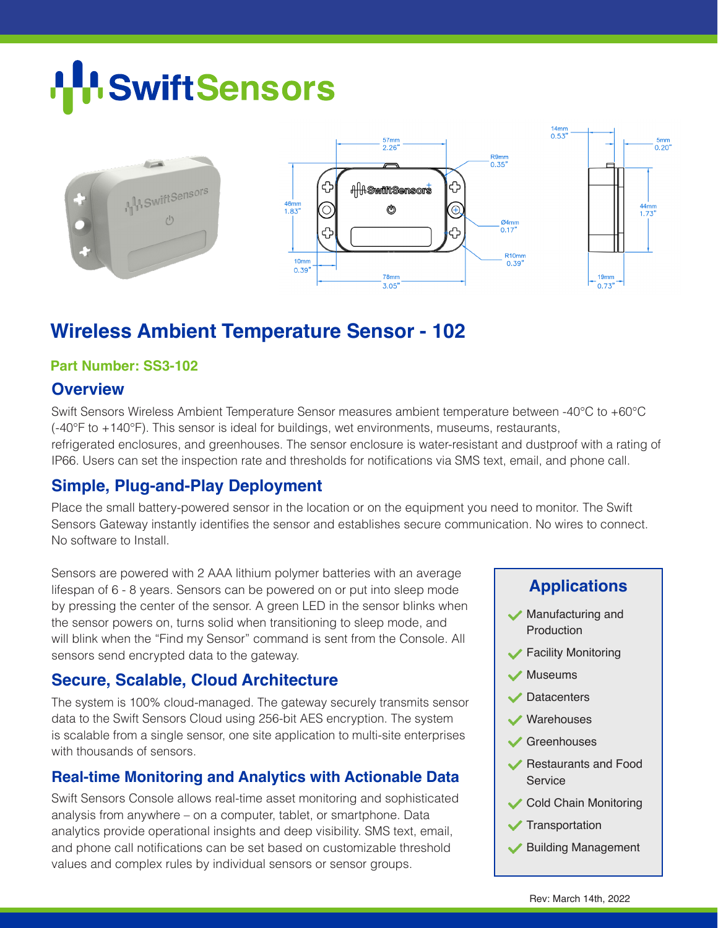# **SwiftSensors**



# **Wireless Ambient Temperature Sensor - 102**

#### **Part Number: SS3-102**

#### **Overview**

Swift Sensors Wireless Ambient Temperature Sensor measures ambient temperature between -40°C to +60°C (-40°F to +140°F). This sensor is ideal for buildings, wet environments, museums, restaurants, refrigerated enclosures, and greenhouses. The sensor enclosure is water-resistant and dustproof with a rating of IP66. Users can set the inspection rate and thresholds for notifications via SMS text, email, and phone call.

# **Simple, Plug-and-Play Deployment**

Place the small battery-powered sensor in the location or on the equipment you need to monitor. The Swift Sensors Gateway instantly identifies the sensor and establishes secure communication. No wires to connect. No software to Install.

Sensors are powered with 2 AAA lithium polymer batteries with an average lifespan of 6 - 8 years. Sensors can be powered on or put into sleep mode by pressing the center of the sensor. A green LED in the sensor blinks when the sensor powers on, turns solid when transitioning to sleep mode, and will blink when the "Find my Sensor" command is sent from the Console. All sensors send encrypted data to the gateway.

# **Secure, Scalable, Cloud Architecture**

The system is 100% cloud-managed. The gateway securely transmits sensor data to the Swift Sensors Cloud using 256-bit AES encryption. The system is scalable from a single sensor, one site application to multi-site enterprises with thousands of sensors.

# **Real-time Monitoring and Analytics with Actionable Data**

Swift Sensors Console allows real-time asset monitoring and sophisticated analysis from anywhere – on a computer, tablet, or smartphone. Data analytics provide operational insights and deep visibility. SMS text, email, and phone call notifications can be set based on customizable threshold values and complex rules by individual sensors or sensor groups.

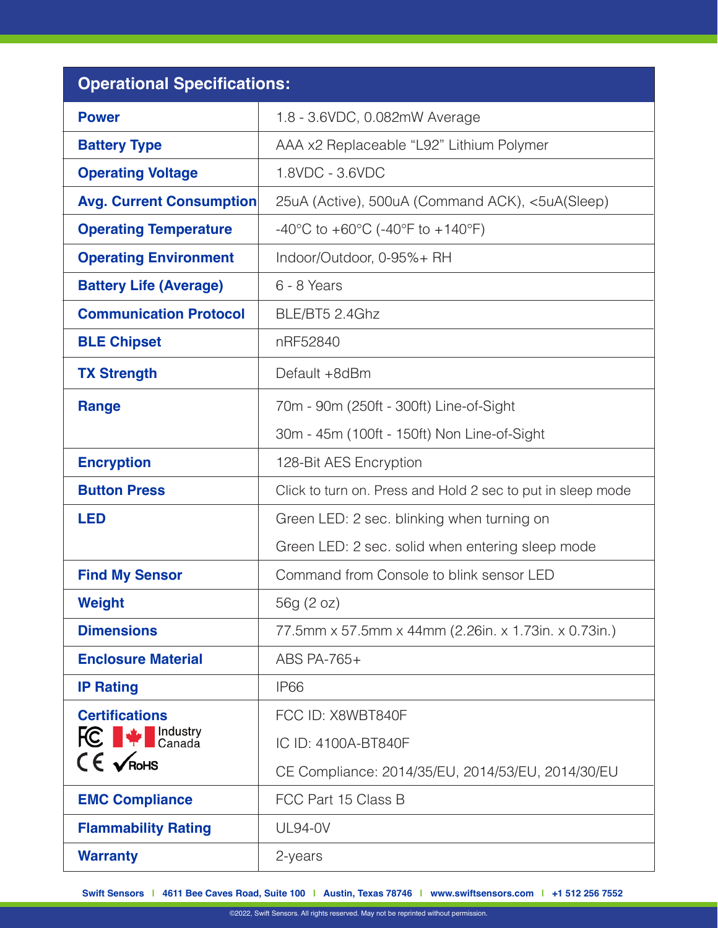| <b>Operational Specifications:</b>               |                                                             |
|--------------------------------------------------|-------------------------------------------------------------|
| <b>Power</b>                                     | 1.8 - 3.6VDC, 0.082mW Average                               |
| <b>Battery Type</b>                              | AAA x2 Replaceable "L92" Lithium Polymer                    |
| <b>Operating Voltage</b>                         | 1.8VDC - 3.6VDC                                             |
| <b>Avg. Current Consumption</b>                  | 25uA (Active), 500uA (Command ACK), <5uA(Sleep)             |
| <b>Operating Temperature</b>                     | -40°C to +60°C (-40°F to +140°F)                            |
| <b>Operating Environment</b>                     | Indoor/Outdoor, 0-95%+ RH                                   |
| <b>Battery Life (Average)</b>                    | 6 - 8 Years                                                 |
| <b>Communication Protocol</b>                    | BLE/BT5 2.4Ghz                                              |
| <b>BLE Chipset</b>                               | nRF52840                                                    |
| <b>TX Strength</b>                               | Default +8dBm                                               |
| <b>Range</b>                                     | 70m - 90m (250ft - 300ft) Line-of-Sight                     |
|                                                  | 30m - 45m (100ft - 150ft) Non Line-of-Sight                 |
| <b>Encryption</b>                                | 128-Bit AES Encryption                                      |
| <b>Button Press</b>                              | Click to turn on. Press and Hold 2 sec to put in sleep mode |
| <b>LED</b>                                       | Green LED: 2 sec. blinking when turning on                  |
|                                                  | Green LED: 2 sec. solid when entering sleep mode            |
| <b>Find My Sensor</b>                            | Command from Console to blink sensor LED                    |
| <b>Weight</b>                                    | 56g (2 oz)                                                  |
| <b>Dimensions</b>                                | 77.5mm x 57.5mm x 44mm (2.26in. x 1.73in. x 0.73in.)        |
| <b>Enclosure Material</b>                        | ABS PA-765+                                                 |
| <b>IP Rating</b>                                 | IP <sub>66</sub>                                            |
| <b>Certifications</b>                            | FCC ID: X8WBT840F                                           |
| <b>FC</b> $\blacktriangleright$ <b>FC</b> Canada | IC ID: 4100A-BT840F                                         |
| $CE$ $\sqrt{R}$ oHS                              | CE Compliance: 2014/35/EU, 2014/53/EU, 2014/30/EU           |
| <b>EMC Compliance</b>                            | FCC Part 15 Class B                                         |
| <b>Flammability Rating</b>                       | <b>UL94-0V</b>                                              |
| <b>Warranty</b>                                  | 2-years                                                     |